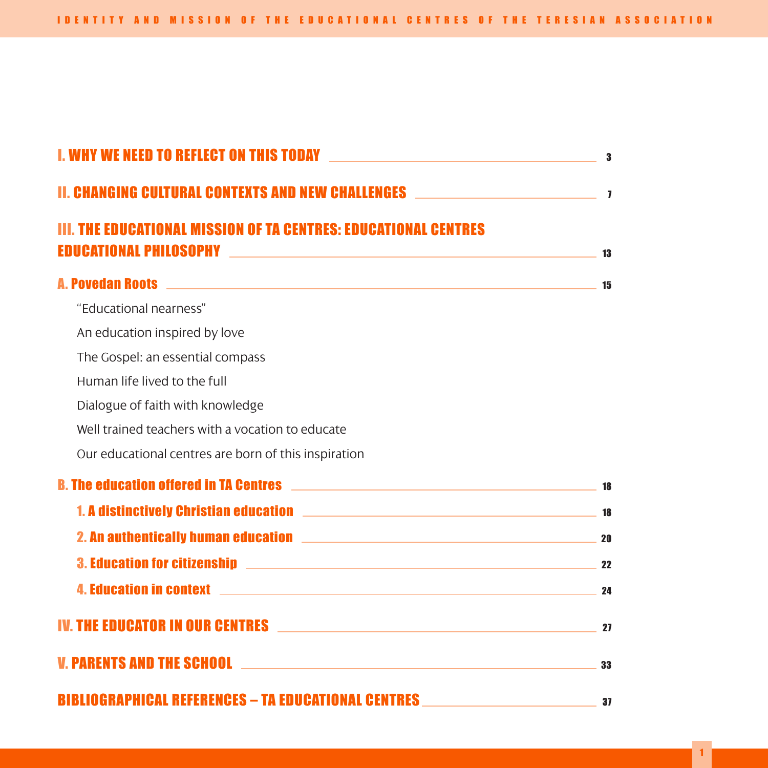| <b>II. CHANGING CULTURAL CONTEXTS AND NEW CHALLENGES WELLERGED AT A SERIES AND REAL PROPERTY ASSESS</b>                                                                                                                        |    |
|--------------------------------------------------------------------------------------------------------------------------------------------------------------------------------------------------------------------------------|----|
| III. THE EDUCATIONAL MISSION OF TA CENTRES: EDUCATIONAL CENTRES                                                                                                                                                                | 13 |
| <b>A. Povedan Roots</b> 15                                                                                                                                                                                                     |    |
| "Educational nearness"                                                                                                                                                                                                         |    |
| An education inspired by love                                                                                                                                                                                                  |    |
| The Gospel: an essential compass                                                                                                                                                                                               |    |
| Human life lived to the full                                                                                                                                                                                                   |    |
| Dialogue of faith with knowledge                                                                                                                                                                                               |    |
| Well trained teachers with a vocation to educate                                                                                                                                                                               |    |
| Our educational centres are born of this inspiration                                                                                                                                                                           |    |
|                                                                                                                                                                                                                                |    |
|                                                                                                                                                                                                                                |    |
| 2. An authentically human education and the control of the control of the control of the control of the control of the control of the control of the control of the control of the control of the control of the control of th |    |
| 3. Education for citizenship 22                                                                                                                                                                                                |    |
| 4. Education in context 2000 and 24 and 24 and 24 and 25 and 25 and 25 and 25 and 25 and 25 and 25 and 25 and 25 and 25 and 25 and 25 and 25 and 25 and 25 and 25 and 25 and 25 and 25 and 25 and 25 and 25 and 25 and 25 and  |    |
| IV. THE EDUCATOR IN OUR CENTRES 27                                                                                                                                                                                             |    |
|                                                                                                                                                                                                                                |    |
| BIBLIOGRAPHICAL REFERENCES – TA EDUCATIONAL CENTRES ____________________________                                                                                                                                               | 37 |

1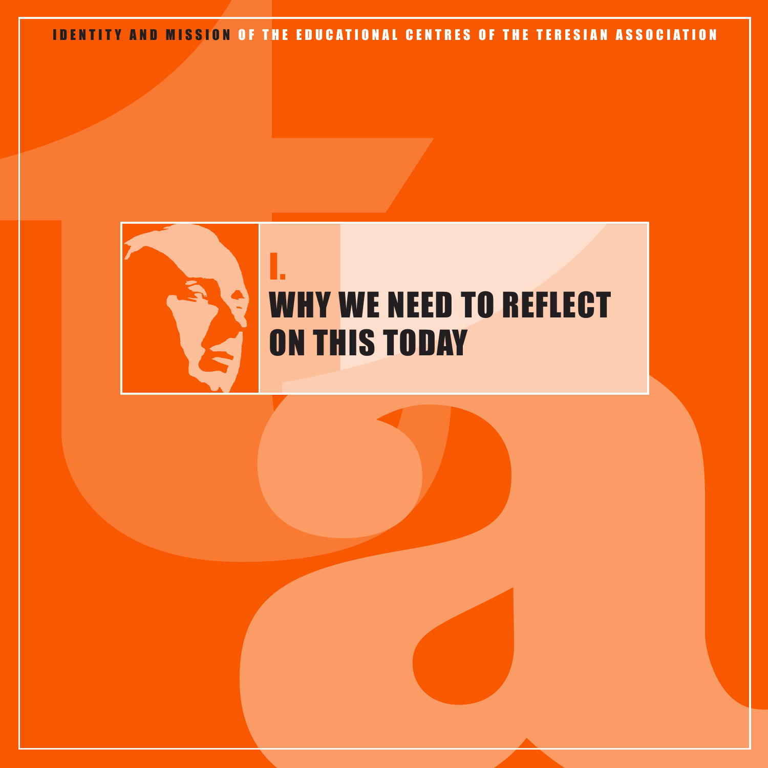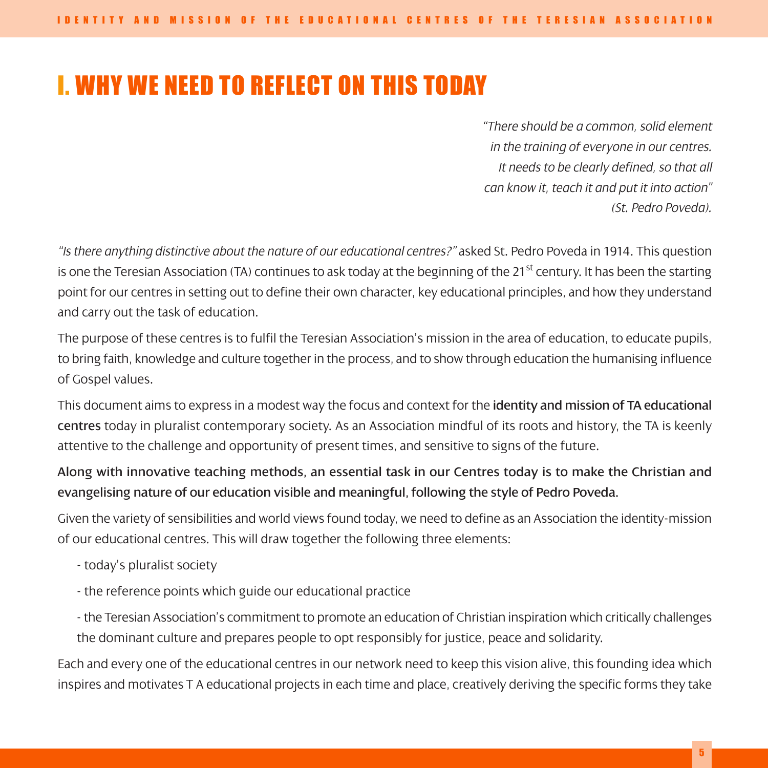# I. WHY WE NEED TO REFLECT ON THIS TODAY

*"There should be a common, solid element in the training of everyone in our centres. It needs to be clearly defined, so that all can know it, teach it and put it into action" (St. Pedro Poveda).*

*"Is there anything distinctive about the nature of our educational centres?"* asked St. Pedro Poveda in 1914. This question is one the Teresian Association (TA) continues to ask today at the beginning of the 21<sup>st</sup> century. It has been the starting point for our centres in setting out to define their own character, key educational principles, and how they understand and carry out the task of education.

The purpose of these centres is to fulfil the Teresian Association's mission in the area of education, to educate pupils, to bring faith, knowledge and culture together in the process, and to show through education the humanising influence of Gospel values.

This document aims to express in a modest way the focus and context for the identity and mission of TA educational centres today in pluralist contemporary society. As an Association mindful of its roots and history, the TA is keenly attentive to the challenge and opportunity of present times, and sensitive to signs of the future.

### Along with innovative teaching methods, an essential task in our Centres today is to make the Christian and evangelising nature of our education visible and meaningful, following the style of Pedro Poveda.

Given the variety of sensibilities and world views found today, we need to define as an Association the identity-mission of our educational centres. This will draw together the following three elements:

- today's pluralist society
- the reference points which guide our educational practice
- the Teresian Association's commitment to promote an education of Christian inspiration which critically challenges the dominant culture and prepares people to opt responsibly for justice, peace and solidarity.

Each and every one of the educational centres in our network need to keep this vision alive, this founding idea which inspires and motivates T A educational projects in each time and place, creatively deriving the specific forms they take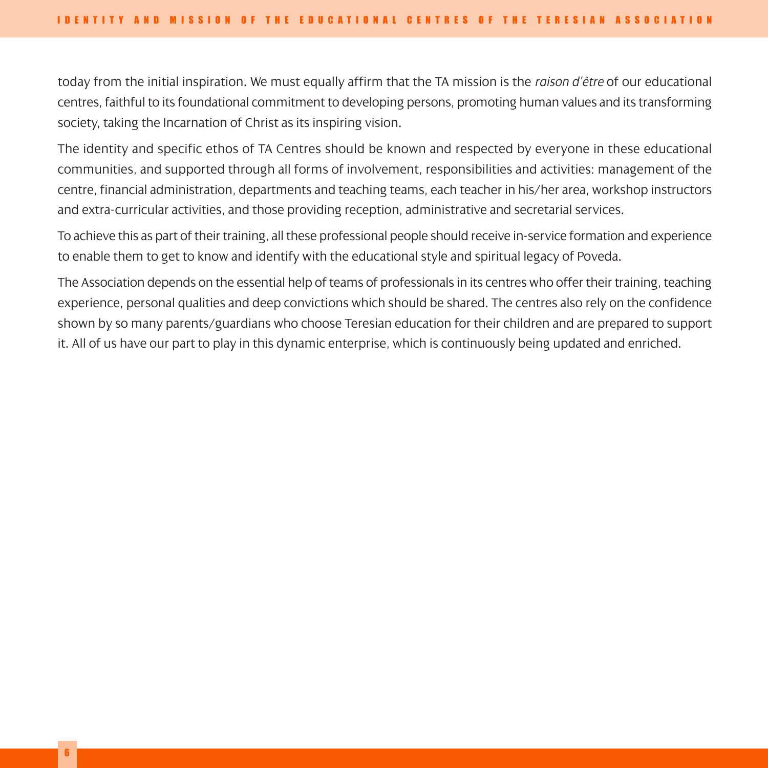today from the initial inspiration. We must equally affirm that the TA mission is the *raison d'être* of our educational centres, faithful to its foundational commitment to developing persons, promoting human values and its transforming society, taking the Incarnation of Christ as its inspiring vision.

The identity and specific ethos of TA Centres should be known and respected by everyone in these educational communities, and supported through all forms of involvement, responsibilities and activities: management of the centre, financial administration, departments and teaching teams, each teacher in his/her area, workshop instructors and extra-curricular activities, and those providing reception, administrative and secretarial services.

To achieve this as part of their training, all these professional people should receive in-service formation and experience to enable them to get to know and identify with the educational style and spiritual legacy of Poveda.

The Association depends on the essential help of teams of professionals in its centres who offer their training, teaching experience, personal qualities and deep convictions which should be shared. The centres also rely on the confidence shown by so many parents/guardians who choose Teresian education for their children and are prepared to support it. All of us have our part to play in this dynamic enterprise, which is continuously being updated and enriched.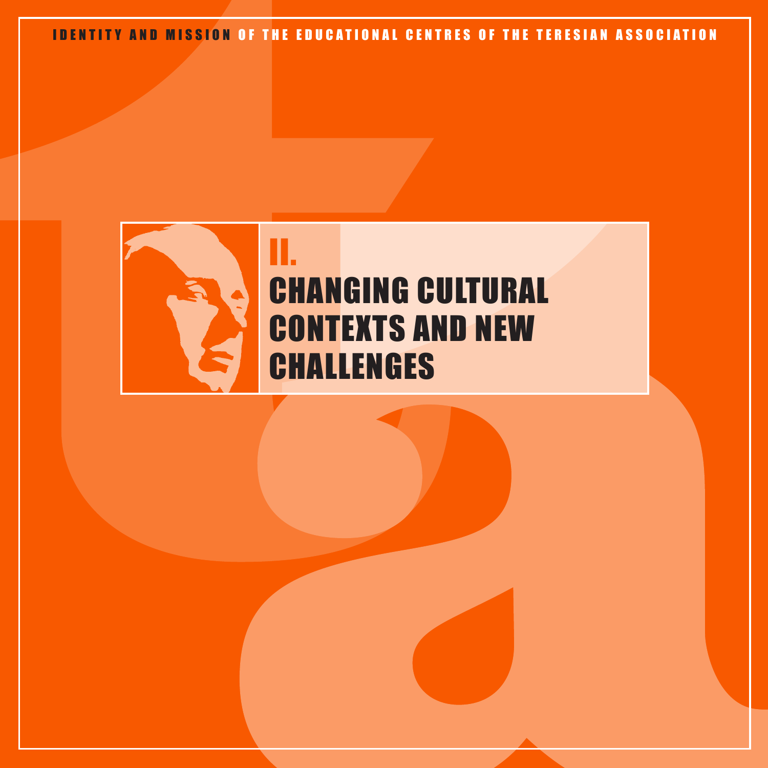

# II. CHANGING CULTURAL CONTEXTS AND NEW CHALLENGES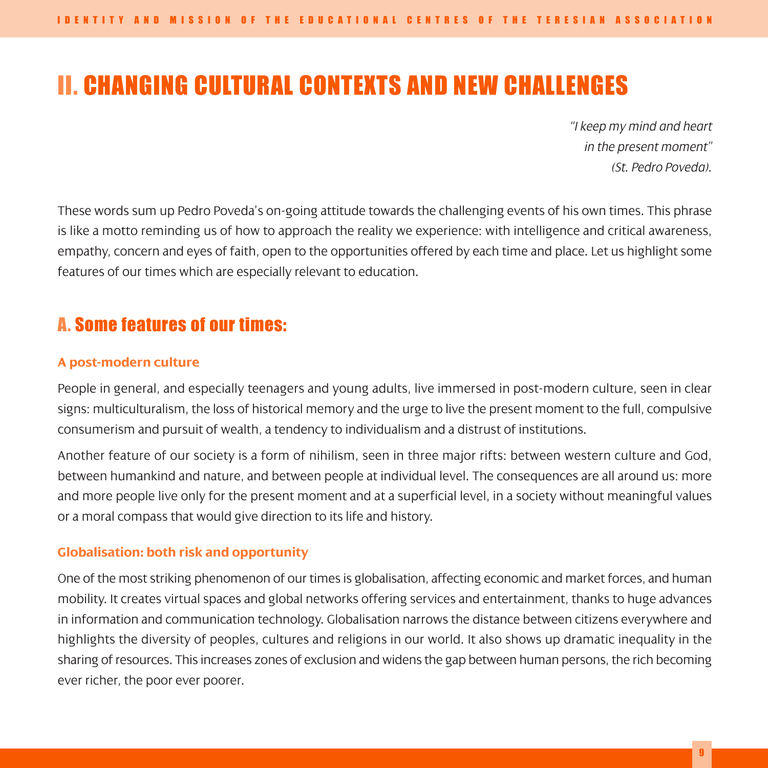# II. CHANGING CULTURAL CONTEXTS AND NEW CHALLENGES

*"I keep my mind and heart in the present moment" (St. Pedro Poveda).*

These words sum up Pedro Poveda's on-going attitude towards the challenging events of his own times. This phrase is like a motto reminding us of how to approach the reality we experience: with intelligence and critical awareness, empathy, concern and eyes of faith, open to the opportunities offered by each time and place. Let us highlight some features of our times which are especially relevant to education.

## A. Some features of our times:

#### **A post-modern culture**

People in general, and especially teenagers and young adults, live immersed in post-modern culture, seen in clear signs: multiculturalism, the loss of historical memory and the urge to live the present moment to the full, compulsive consumerism and pursuit of wealth, a tendency to individualism and a distrust of institutions.

Another feature of our society is a form of nihilism, seen in three major rifts: between western culture and God, between humankind and nature, and between people at individual level. The consequences are all around us: more and more people live only for the present moment and at a superficial level, in a society without meaningful values or a moral compass that would give direction to its life and history.

#### **Globalisation: both risk and opportunity**

One of the most striking phenomenon of our times is globalisation, affecting economic and market forces, and human mobility. It creates virtual spaces and global networks offering services and entertainment, thanks to huge advances in information and communication technology. Globalisation narrows the distance between citizens everywhere and highlights the diversity of peoples, cultures and religions in our world. It also shows up dramatic inequality in the sharing of resources. This increases zones of exclusion and widens the gap between human persons, the rich becoming ever richer, the poor ever poorer.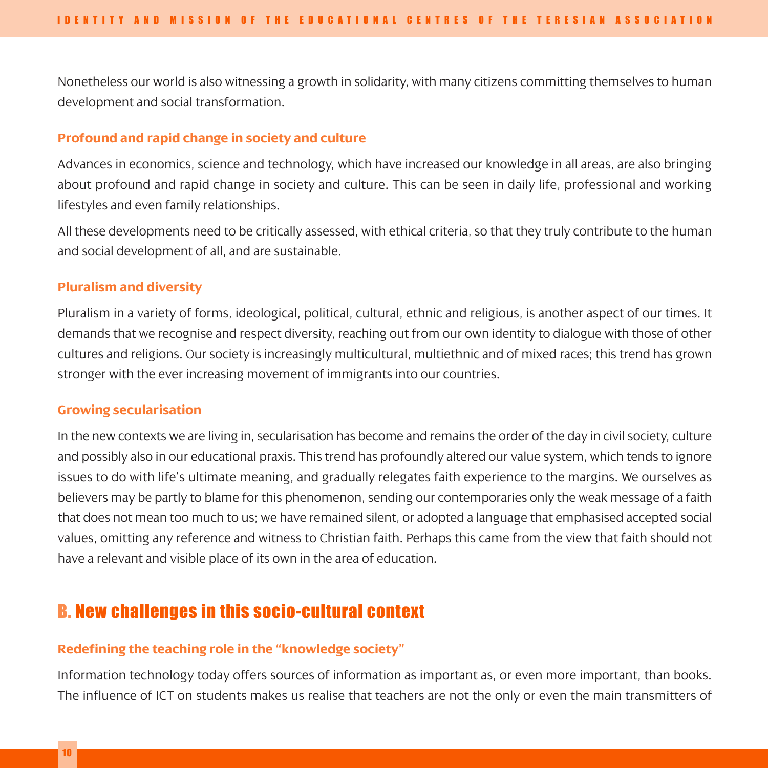Nonetheless our world is also witnessing a growth in solidarity, with many citizens committing themselves to human development and social transformation.

#### **Profound and rapid change in society and culture**

Advances in economics, science and technology, which have increased our knowledge in all areas, are also bringing about profound and rapid change in society and culture. This can be seen in daily life, professional and working lifestyles and even family relationships.

All these developments need to be critically assessed, with ethical criteria, so that they truly contribute to the human and social development of all, and are sustainable.

#### **Pluralism and diversity**

Pluralism in a variety of forms, ideological, political, cultural, ethnic and religious, is another aspect of our times. It demands that we recognise and respect diversity, reaching out from our own identity to dialogue with those of other cultures and religions. Our society is increasingly multicultural, multiethnic and of mixed races; this trend has grown stronger with the ever increasing movement of immigrants into our countries.

#### **Growing secularisation**

In the new contexts we are living in, secularisation has become and remains the order of the day in civil society, culture and possibly also in our educational praxis. This trend has profoundly altered our value system, which tends to ignore issues to do with life's ultimate meaning, and gradually relegates faith experience to the margins. We ourselves as believers may be partly to blame for this phenomenon, sending our contemporaries only the weak message of a faith that does not mean too much to us; we have remained silent, or adopted a language that emphasised accepted social values, omitting any reference and witness to Christian faith. Perhaps this came from the view that faith should not have a relevant and visible place of its own in the area of education.

## B. New challenges in this socio-cultural context

#### **Redefining the teaching role in the "knowledge society"**

Information technology today offers sources of information as important as, or even more important, than books. The influence of ICT on students makes us realise that teachers are not the only or even the main transmitters of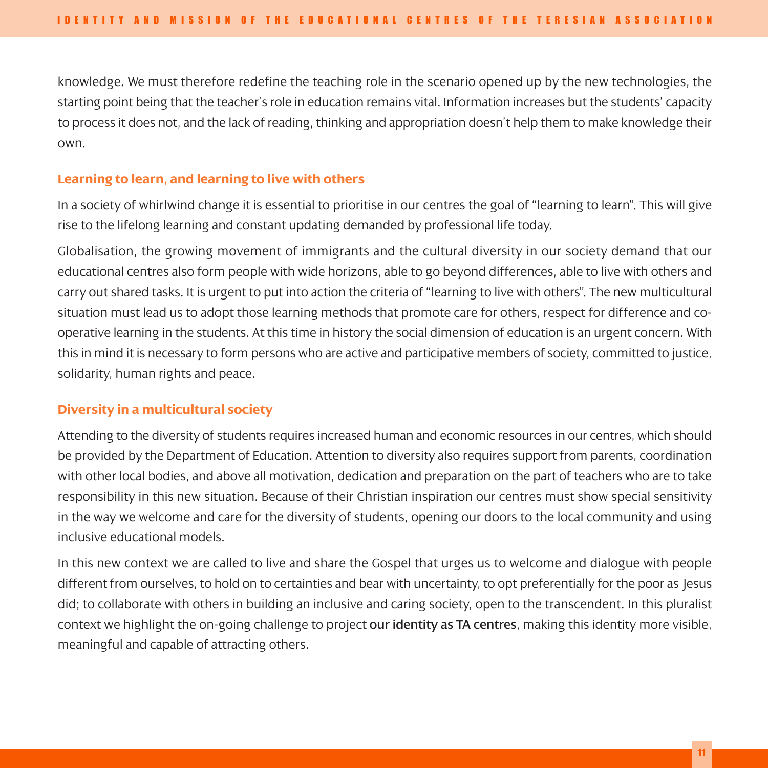knowledge. We must therefore redefine the teaching role in the scenario opened up by the new technologies, the starting point being that the teacher's role in education remains vital. Information increases but the students' capacity to process it does not, and the lack of reading, thinking and appropriation doesn't help them to make knowledge their own.

#### **Learning to learn, and learning to live with others**

In a society of whirlwind change it is essential to prioritise in our centres the goal of "learning to learn". This will give rise to the lifelong learning and constant updating demanded by professional life today.

Globalisation, the growing movement of immigrants and the cultural diversity in our society demand that our educational centres also form people with wide horizons, able to go beyond differences, able to live with others and carry out shared tasks. It is urgent to put into action the criteria of "learning to live with others". The new multicultural situation must lead us to adopt those learning methods that promote care for others, respect for difference and cooperative learning in the students. At this time in history the social dimension of education is an urgent concern. With this in mind it is necessary to form persons who are active and participative members of society, committed to justice, solidarity, human rights and peace.

#### **Diversity in a multicultural society**

Attending to the diversity of students requires increased human and economic resources in our centres, which should be provided by the Department of Education. Attention to diversity also requires support from parents, coordination with other local bodies, and above all motivation, dedication and preparation on the part of teachers who are to take responsibility in this new situation. Because of their Christian inspiration our centres must show special sensitivity in the way we welcome and care for the diversity of students, opening our doors to the local community and using inclusive educational models.

In this new context we are called to live and share the Gospel that urges us to welcome and dialogue with people different from ourselves, to hold on to certainties and bear with uncertainty, to opt preferentially for the poor as Jesus did; to collaborate with others in building an inclusive and caring society, open to the transcendent. In this pluralist context we highlight the on-going challenge to project **our identity as TA centres**, making this identity more visible, meaningful and capable of attracting others.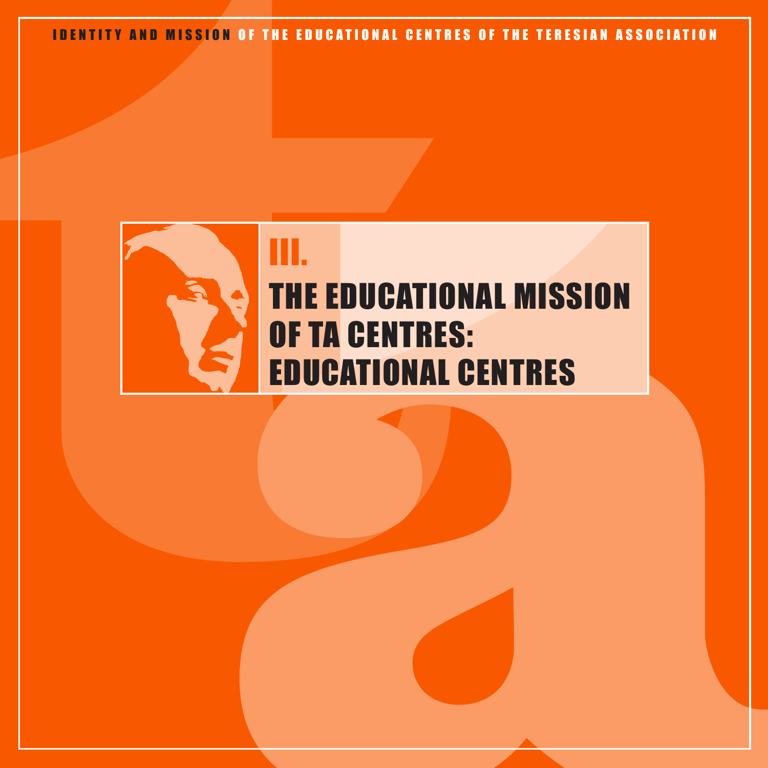

# THE EDUCATIONAL MISSION OF TA CENTRES: EDUCATIONAL CENTRES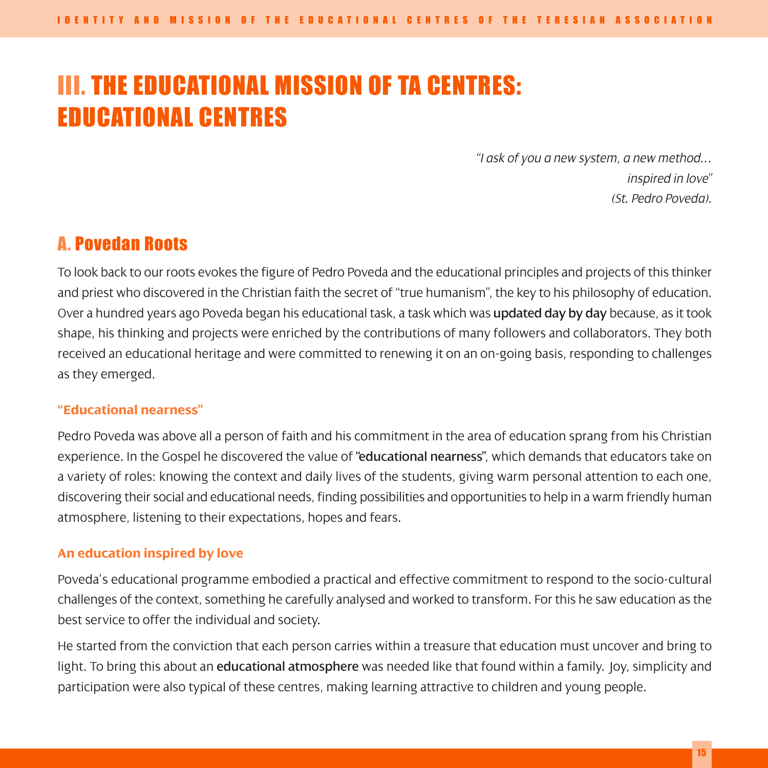# III. THE EDUCATIONAL MISSION OF TA CENTRES: EDUCATIONAL CENTRES

*"I ask of you a new system, a new method… inspired in love" (St. Pedro Poveda).*

## A. Povedan Roots

To look back to our roots evokes the figure of Pedro Poveda and the educational principles and projects of this thinker and priest who discovered in the Christian faith the secret of "true humanism", the key to his philosophy of education. Over a hundred years ago Poveda began his educational task, a task which was **updated day by day** because, as it took shape, his thinking and projects were enriched by the contributions of many followers and collaborators. They both received an educational heritage and were committed to renewing it on an on-going basis, responding to challenges as they emerged.

#### **"Educational nearness"**

Pedro Poveda was above all a person of faith and his commitment in the area of education sprang from his Christian experience. In the Gospel he discovered the value of "educational nearness", which demands that educators take on a variety of roles: knowing the context and daily lives of the students, giving warm personal attention to each one, discovering their social and educational needs, finding possibilities and opportunities to help in a warm friendly human atmosphere, listening to their expectations, hopes and fears.

#### **An education inspired by love**

Poveda's educational programme embodied a practical and effective commitment to respond to the socio-cultural challenges of the context, something he carefully analysed and worked to transform. For this he saw education as the best service to offer the individual and society.

He started from the conviction that each person carries within a treasure that education must uncover and bring to light. To bring this about an educational atmosphere was needed like that found within a family. Joy, simplicity and participation were also typical of these centres, making learning attractive to children and young people.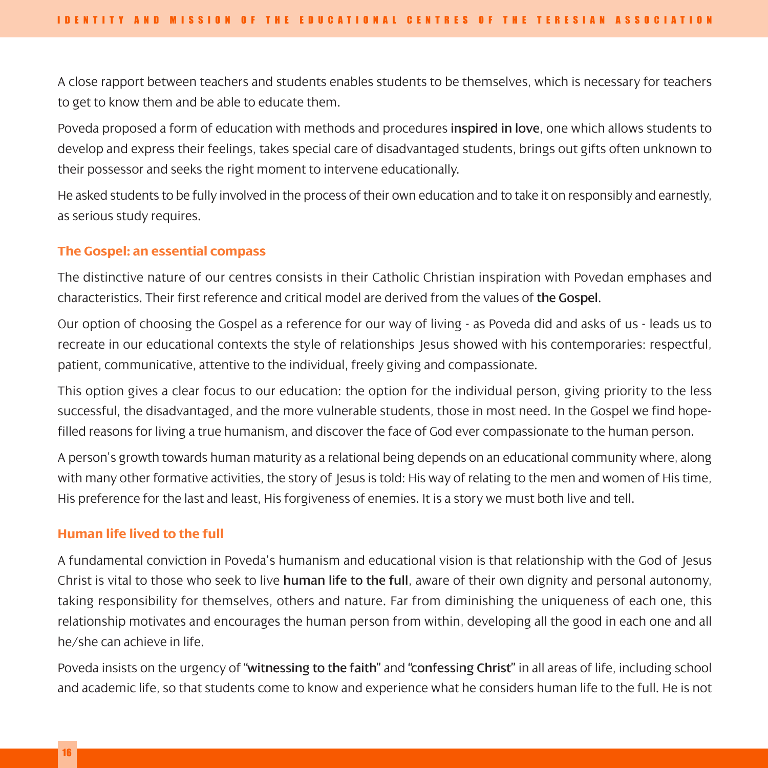A close rapport between teachers and students enables students to be themselves, which is necessary for teachers to get to know them and be able to educate them.

Poveda proposed a form of education with methods and procedures inspired in love, one which allows students to develop and express their feelings, takes special care of disadvantaged students, brings out gifts often unknown to their possessor and seeks the right moment to intervene educationally.

He asked students to be fully involved in the process of their own education and to take it on responsibly and earnestly, as serious study requires.

#### **The Gospel: an essential compass**

The distinctive nature of our centres consists in their Catholic Christian inspiration with Povedan emphases and characteristics. Their first reference and critical model are derived from the values of the Gospel.

Our option of choosing the Gospel as a reference for our way of living - as Poveda did and asks of us - leads us to recreate in our educational contexts the style of relationships Jesus showed with his contemporaries: respectful, patient, communicative, attentive to the individual, freely giving and compassionate.

This option gives a clear focus to our education: the option for the individual person, giving priority to the less successful, the disadvantaged, and the more vulnerable students, those in most need. In the Gospel we find hopefilled reasons for living a true humanism, and discover the face of God ever compassionate to the human person.

A person's growth towards human maturity as a relational being depends on an educational community where, along with many other formative activities, the story of Jesus is told: His way of relating to the men and women of His time, His preference for the last and least, His forgiveness of enemies. It is a story we must both live and tell.

#### **Human life lived to the full**

A fundamental conviction in Poveda's humanism and educational vision is that relationship with the God of Jesus Christ is vital to those who seek to live human life to the full, aware of their own dignity and personal autonomy, taking responsibility for themselves, others and nature. Far from diminishing the uniqueness of each one, this relationship motivates and encourages the human person from within, developing all the good in each one and all he/she can achieve in life.

Poveda insists on the urgency of "witnessing to the faith" and "confessing Christ" in all areas of life, including school and academic life, so that students come to know and experience what he considers human life to the full. He is not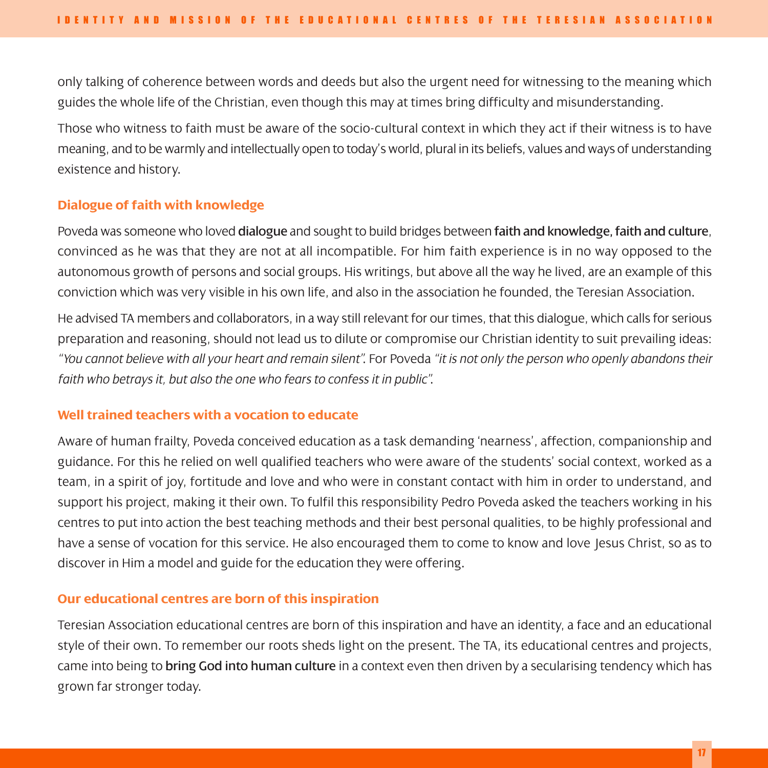only talking of coherence between words and deeds but also the urgent need for witnessing to the meaning which guides the whole life of the Christian, even though this may at times bring difficulty and misunderstanding.

Those who witness to faith must be aware of the socio-cultural context in which they act if their witness is to have meaning, and to be warmly and intellectually open to today's world, plural in its beliefs, values and ways of understanding existence and history.

#### **Dialogue of faith with knowledge**

Poveda was someone who loved dialogue and sought to build bridges between faith and knowledge, faith and culture, convinced as he was that they are not at all incompatible. For him faith experience is in no way opposed to the autonomous growth of persons and social groups. His writings, but above all the way he lived, are an example of this conviction which was very visible in his own life, and also in the association he founded, the Teresian Association.

He advised TA members and collaborators, in a way still relevant for our times, that this dialogue, which calls for serious preparation and reasoning, should not lead us to dilute or compromise our Christian identity to suit prevailing ideas: *"You cannot believe with all your heart and remain silent"*. For Poveda *"it is not only the person who openly abandons their faith who betrays it, but also the one who fears to confess it in public"*.

#### **Well trained teachers with a vocation to educate**

Aware of human frailty, Poveda conceived education as a task demanding 'nearness', affection, companionship and guidance. For this he relied on well qualified teachers who were aware of the students' social context, worked as a team, in a spirit of joy, fortitude and love and who were in constant contact with him in order to understand, and support his project, making it their own. To fulfil this responsibility Pedro Poveda asked the teachers working in his centres to put into action the best teaching methods and their best personal qualities, to be highly professional and have a sense of vocation for this service. He also encouraged them to come to know and love Jesus Christ, so as to discover in Him a model and guide for the education they were offering.

#### **Our educational centres are born of this inspiration**

Teresian Association educational centres are born of this inspiration and have an identity, a face and an educational style of their own. To remember our roots sheds light on the present. The TA, its educational centres and projects, came into being to bring God into human culture in a context even then driven by a secularising tendency which has grown far stronger today.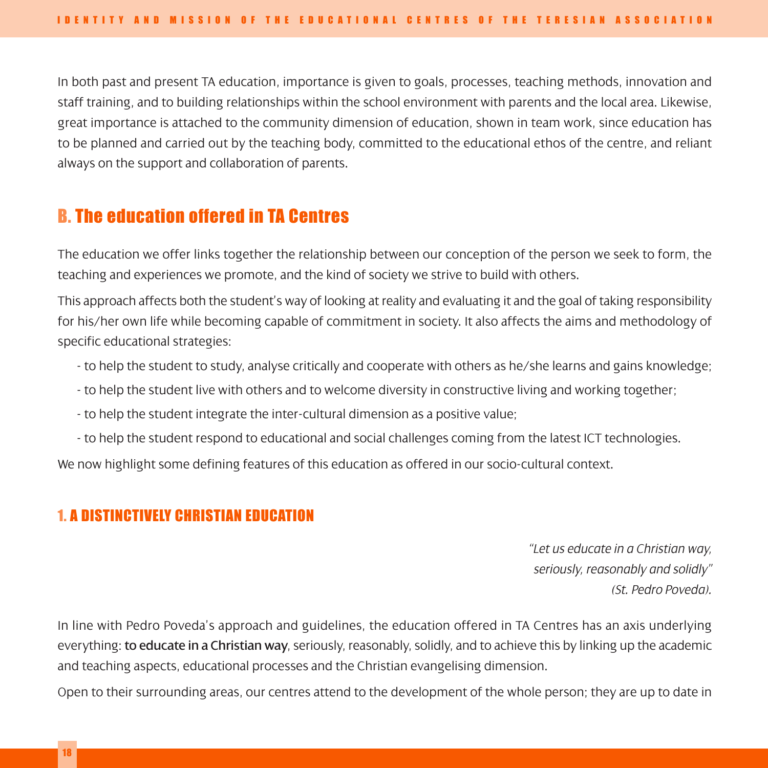In both past and present TA education, importance is given to goals, processes, teaching methods, innovation and staff training, and to building relationships within the school environment with parents and the local area. Likewise, great importance is attached to the community dimension of education, shown in team work, since education has to be planned and carried out by the teaching body, committed to the educational ethos of the centre, and reliant always on the support and collaboration of parents.

# B. The education offered in TA Centres

The education we offer links together the relationship between our conception of the person we seek to form, the teaching and experiences we promote, and the kind of society we strive to build with others.

This approach affects both the student's way of looking at reality and evaluating it and the goal of taking responsibility for his/her own life while becoming capable of commitment in society. It also affects the aims and methodology of specific educational strategies:

- to help the student to study, analyse critically and cooperate with others as he/she learns and gains knowledge;
- to help the student live with others and to welcome diversity in constructive living and working together;
- to help the student integrate the inter-cultural dimension as a positive value;
- to help the student respond to educational and social challenges coming from the latest ICT technologies.

We now highlight some defining features of this education as offered in our socio-cultural context.

### 1. A DISTINCTIVELY CHRISTIAN EDUCATION

*"Let us educate in a Christian way, seriously, reasonably and solidly" (St. Pedro Poveda).*

In line with Pedro Poveda's approach and guidelines, the education offered in TA Centres has an axis underlying everything: to educate in a Christian way, seriously, reasonably, solidly, and to achieve this by linking up the academic and teaching aspects, educational processes and the Christian evangelising dimension.

Open to their surrounding areas, our centres attend to the development of the whole person; they are up to date in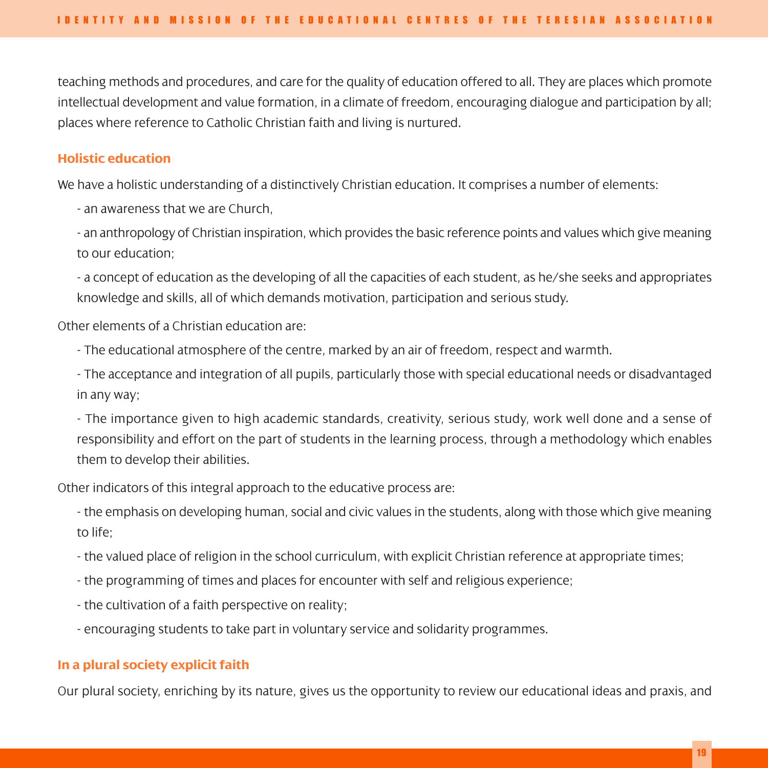teaching methods and procedures, and care for the quality of education offered to all. They are places which promote intellectual development and value formation, in a climate of freedom, encouraging dialogue and participation by all; places where reference to Catholic Christian faith and living is nurtured.

#### **Holistic education**

We have a holistic understanding of a distinctively Christian education. It comprises a number of elements:

- an awareness that we are Church,

- an anthropology of Christian inspiration, which provides the basic reference points and values which give meaning to our education;

- a concept of education as the developing of all the capacities of each student, as he/she seeks and appropriates knowledge and skills, all of which demands motivation, participation and serious study.

Other elements of a Christian education are:

- The educational atmosphere of the centre, marked by an air of freedom, respect and warmth.

- The acceptance and integration of all pupils, particularly those with special educational needs or disadvantaged in any way;

- The importance given to high academic standards, creativity, serious study, work well done and a sense of responsibility and effort on the part of students in the learning process, through a methodology which enables them to develop their abilities.

Other indicators of this integral approach to the educative process are:

- the emphasis on developing human, social and civic values in the students, along with those which give meaning to life;

- the valued place of religion in the school curriculum, with explicit Christian reference at appropriate times;
- the programming of times and places for encounter with self and religious experience;
- the cultivation of a faith perspective on reality;
- encouraging students to take part in voluntary service and solidarity programmes.

#### **In a plural society explicit faith**

Our plural society, enriching by its nature, gives us the opportunity to review our educational ideas and praxis, and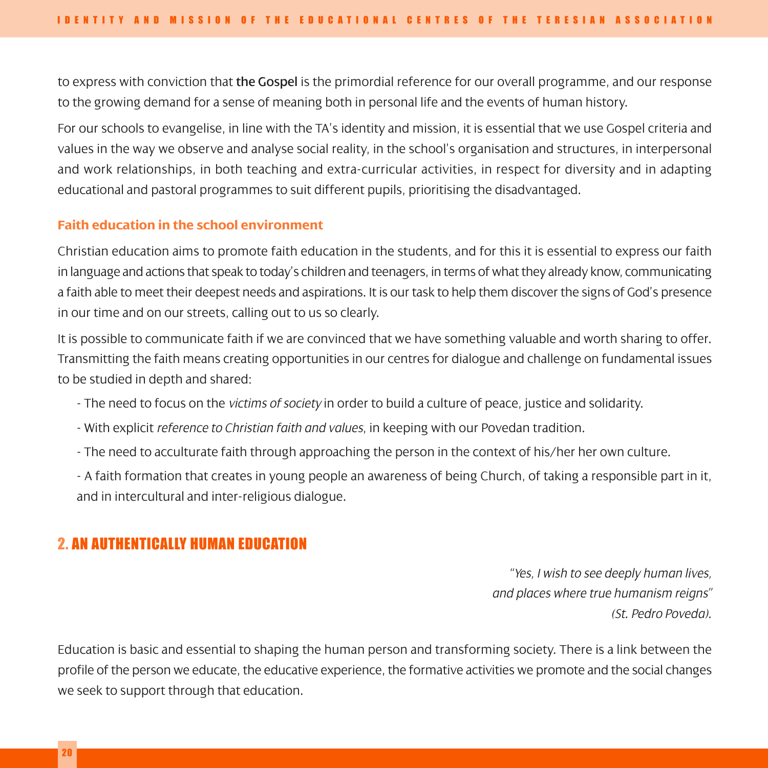to express with conviction that the Gospel is the primordial reference for our overall programme, and our response to the growing demand for a sense of meaning both in personal life and the events of human history.

For our schools to evangelise, in line with the TA's identity and mission, it is essential that we use Gospel criteria and values in the way we observe and analyse social reality, in the school's organisation and structures, in interpersonal and work relationships, in both teaching and extra-curricular activities, in respect for diversity and in adapting educational and pastoral programmes to suit different pupils, prioritising the disadvantaged.

#### **Faith education in the school environment**

Christian education aims to promote faith education in the students, and for this it is essential to express our faith in language and actions that speak to today's children and teenagers, in terms of what they already know, communicating a faith able to meet their deepest needs and aspirations. It is our task to help them discover the signs of God's presence in our time and on our streets, calling out to us so clearly.

It is possible to communicate faith if we are convinced that we have something valuable and worth sharing to offer. Transmitting the faith means creating opportunities in our centres for dialogue and challenge on fundamental issues to be studied in depth and shared:

- The need to focus on the *victims of society* in order to build a culture of peace, justice and solidarity.
- With explicit *reference to Christian faith and values*, in keeping with our Povedan tradition.
- The need to acculturate faith through approaching the person in the context of his/her her own culture.

- A faith formation that creates in young people an awareness of being Church, of taking a responsible part in it, and in intercultural and inter-religious dialogue.

### 2. AN AUTHENTICALLY HUMAN EDUCATION

*"Yes, I wish to see deeply human lives, and places where true humanism reigns" (St. Pedro Poveda).*

Education is basic and essential to shaping the human person and transforming society. There is a link between the profile of the person we educate, the educative experience, the formative activities we promote and the social changes we seek to support through that education.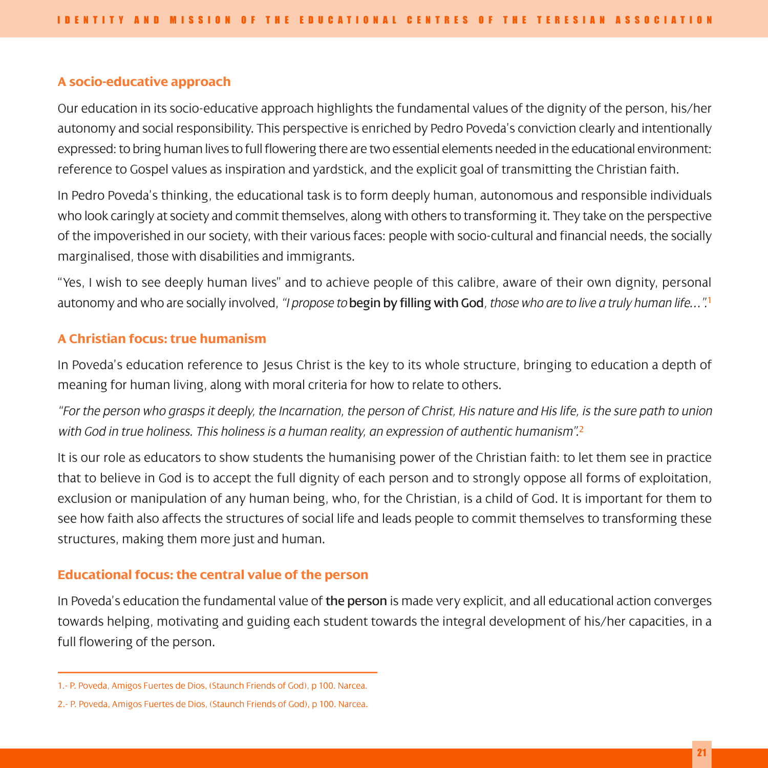#### **A socio-educative approach**

Our education in its socio-educative approach highlights the fundamental values of the dignity of the person, his/her autonomy and social responsibility. This perspective is enriched by Pedro Poveda's conviction clearly and intentionally expressed: to bring human lives to full flowering there are two essential elements needed in the educational environment: reference to Gospel values as inspiration and yardstick, and the explicit goal of transmitting the Christian faith.

In Pedro Poveda's thinking, the educational task is to form deeply human, autonomous and responsible individuals who look caringly at society and commit themselves, along with others to transforming it. They take on the perspective of the impoverished in our society, with their various faces: people with socio-cultural and financial needs, the socially marginalised, those with disabilities and immigrants.

"Yes, I wish to see deeply human lives" and to achieve people of this calibre, aware of their own dignity, personal autonomy and who are socially involved, *"I propose to* begin by filling with God*, those who are to live a truly human life…".*<sup>1</sup>

#### **A Christian focus: true humanism**

In Poveda's education reference to Jesus Christ is the key to its whole structure, bringing to education a depth of meaning for human living, along with moral criteria for how to relate to others.

*"For the person who grasps it deeply, the Incarnation, the person of Christ, His nature and His life, is the sure path to union with God in true holiness. This holiness is a human reality, an expression of authentic humanism".*<sup>2</sup>

It is our role as educators to show students the humanising power of the Christian faith: to let them see in practice that to believe in God is to accept the full dignity of each person and to strongly oppose all forms of exploitation, exclusion or manipulation of any human being, who, for the Christian, is a child of God. It is important for them to see how faith also affects the structures of social life and leads people to commit themselves to transforming these structures, making them more just and human.

#### **Educational focus: the central value of the person**

In Poveda's education the fundamental value of the person is made very explicit, and all educational action converges towards helping, motivating and guiding each student towards the integral development of his/her capacities, in a full flowering of the person.

<sup>1.-</sup> P. Poveda, Amigos Fuertes de Dios, (Staunch Friends of God), p 100. Narcea.

<sup>2.-</sup> P. Poveda, Amigos Fuertes de Dios, (Staunch Friends of God), p 100. Narcea.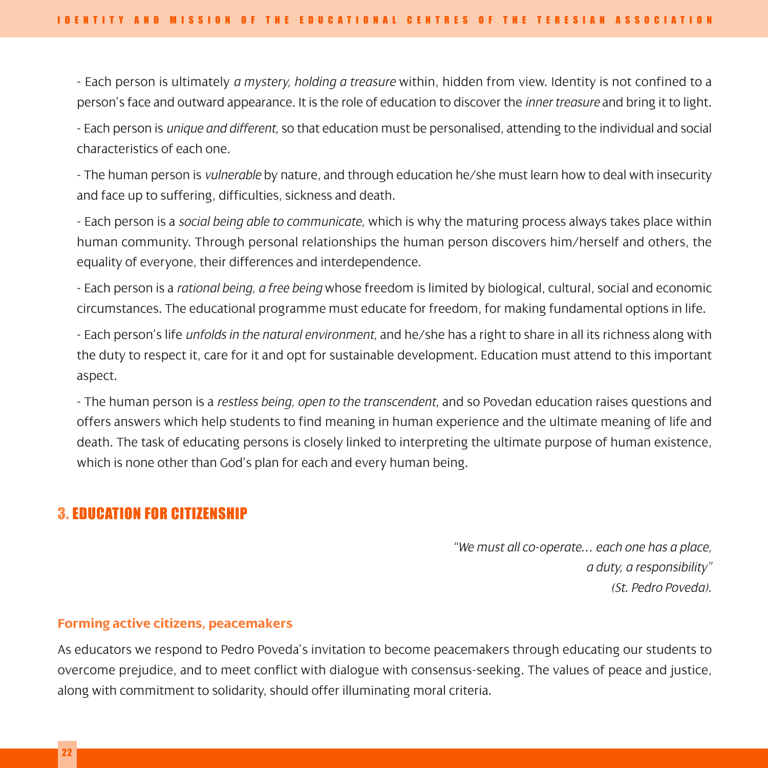- Each person is ultimately *a mystery, holding a treasure* within, hidden from view. Identity is not confined to a person's face and outward appearance. It is the role of education to discover the *inner treasure* and bring it to light.

- Each person is *unique and different*, so that education must be personalised, attending to the individual and social characteristics of each one.

- The human person is *vulnerable* by nature, and through education he/she must learn how to deal with insecurity and face up to suffering, difficulties, sickness and death.

- Each person is a *social being able to communicate*, which is why the maturing process always takes place within human community. Through personal relationships the human person discovers him/herself and others, the equality of everyone, their differences and interdependence.

- Each person is a *rational being, a free being* whose freedom is limited by biological, cultural, social and economic circumstances. The educational programme must educate for freedom, for making fundamental options in life.

- Each person's life *unfolds in the natural environment*, and he/she has a right to share in all its richness along with the duty to respect it, care for it and opt for sustainable development. Education must attend to this important aspect.

- The human person is a *restless being, open to the transcendent*, and so Povedan education raises questions and offers answers which help students to find meaning in human experience and the ultimate meaning of life and death. The task of educating persons is closely linked to interpreting the ultimate purpose of human existence, which is none other than God's plan for each and every human being.

### 3. EDUCATION FOR CITIZENSHIP

*"We must all co-operate… each one has a place, a duty, a responsibility" (St. Pedro Poveda).*

#### **Forming active citizens, peacemakers**

As educators we respond to Pedro Poveda's invitation to become peacemakers through educating our students to overcome prejudice, and to meet conflict with dialogue with consensus-seeking. The values of peace and justice, along with commitment to solidarity, should offer illuminating moral criteria.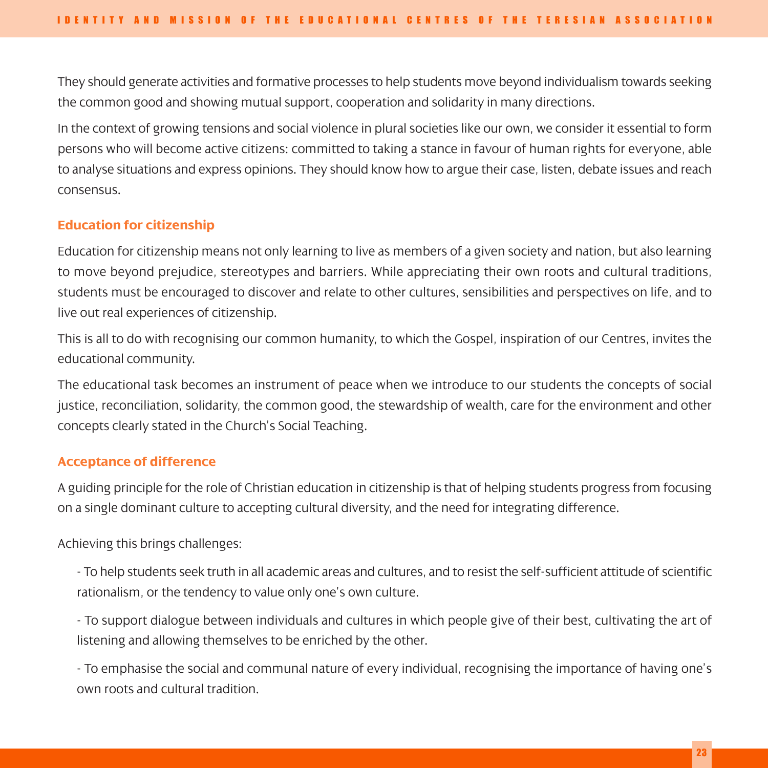They should generate activities and formative processes to help students move beyond individualism towards seeking the common good and showing mutual support, cooperation and solidarity in many directions.

In the context of growing tensions and social violence in plural societies like our own, we consider it essential to form persons who will become active citizens: committed to taking a stance in favour of human rights for everyone, able to analyse situations and express opinions. They should know how to argue their case, listen, debate issues and reach consensus.

#### **Education for citizenship**

Education for citizenship means not only learning to live as members of a given society and nation, but also learning to move beyond prejudice, stereotypes and barriers. While appreciating their own roots and cultural traditions, students must be encouraged to discover and relate to other cultures, sensibilities and perspectives on life, and to live out real experiences of citizenship.

This is all to do with recognising our common humanity, to which the Gospel, inspiration of our Centres, invites the educational community.

The educational task becomes an instrument of peace when we introduce to our students the concepts of social justice, reconciliation, solidarity, the common good, the stewardship of wealth, care for the environment and other concepts clearly stated in the Church's Social Teaching.

#### **Acceptance of difference**

A guiding principle for the role of Christian education in citizenship is that of helping students progress from focusing on a single dominant culture to accepting cultural diversity, and the need for integrating difference.

Achieving this brings challenges:

- To help students seek truth in all academic areas and cultures, and to resist the self-sufficient attitude of scientific rationalism, or the tendency to value only one's own culture.

- To support dialogue between individuals and cultures in which people give of their best, cultivating the art of listening and allowing themselves to be enriched by the other.

- To emphasise the social and communal nature of every individual, recognising the importance of having one's own roots and cultural tradition.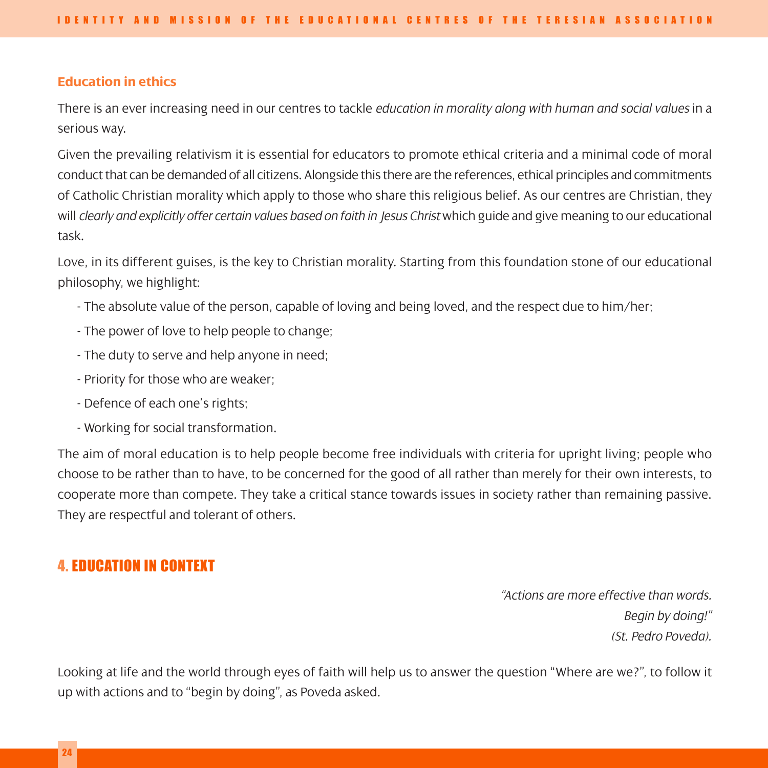#### **Education in ethics**

There is an ever increasing need in our centres to tackle *education in morality along with human and social values* in a serious way.

Given the prevailing relativism it is essential for educators to promote ethical criteria and a minimal code of moral conduct that can be demanded of all citizens. Alongside this there are the references, ethical principles and commitments of Catholic Christian morality which apply to those who share this religious belief. As our centres are Christian, they will *clearly and explicitly offer certain values based on faith in Jesus Christ* which guide and give meaning to our educational task.

Love, in its different guises, is the key to Christian morality. Starting from this foundation stone of our educational philosophy, we highlight:

- The absolute value of the person, capable of loving and being loved, and the respect due to him/her;
- The power of love to help people to change;
- The duty to serve and help anyone in need;
- Priority for those who are weaker;
- Defence of each one's rights;
- Working for social transformation.

The aim of moral education is to help people become free individuals with criteria for upright living; people who choose to be rather than to have, to be concerned for the good of all rather than merely for their own interests, to cooperate more than compete. They take a critical stance towards issues in society rather than remaining passive. They are respectful and tolerant of others.

### 4. EDUCATION IN CONTEXT

*"Actions are more effective than words. Begin by doing!" (St. Pedro Poveda).*

Looking at life and the world through eyes of faith will help us to answer the question "Where are we?", to follow it up with actions and to "begin by doing", as Poveda asked.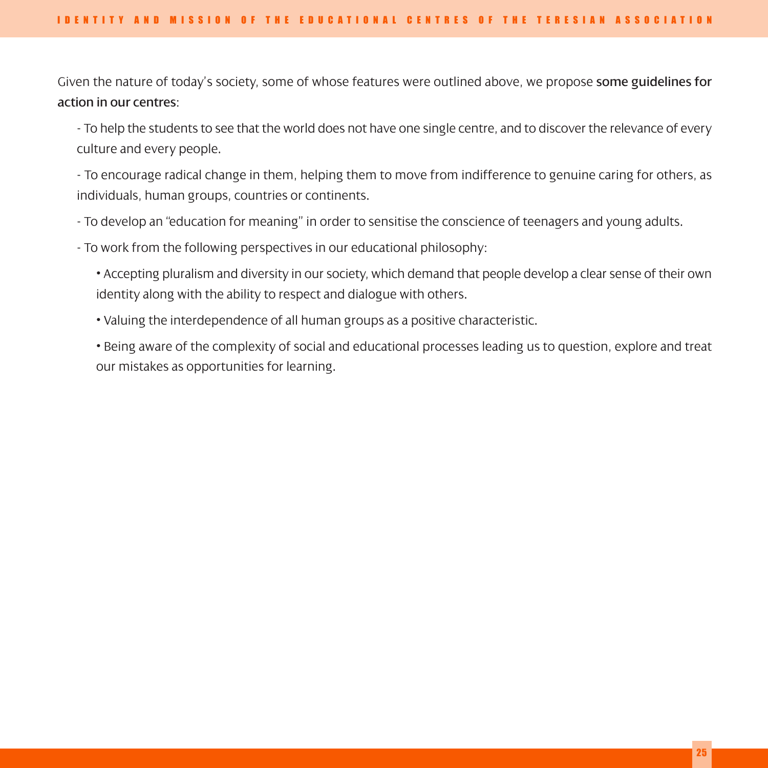Given the nature of today's society, some of whose features were outlined above, we propose some guidelines for action in our centres:

- To help the students to see that the world does not have one single centre, and to discover the relevance of every culture and every people.

- To encourage radical change in them, helping them to move from indifference to genuine caring for others, as individuals, human groups, countries or continents.

- To develop an "education for meaning" in order to sensitise the conscience of teenagers and young adults.

- To work from the following perspectives in our educational philosophy:

• Accepting pluralism and diversity in our society, which demand that people develop a clear sense of their own identity along with the ability to respect and dialogue with others.

• Valuing the interdependence of all human groups as a positive characteristic.

• Being aware of the complexity of social and educational processes leading us to question, explore and treat our mistakes as opportunities for learning.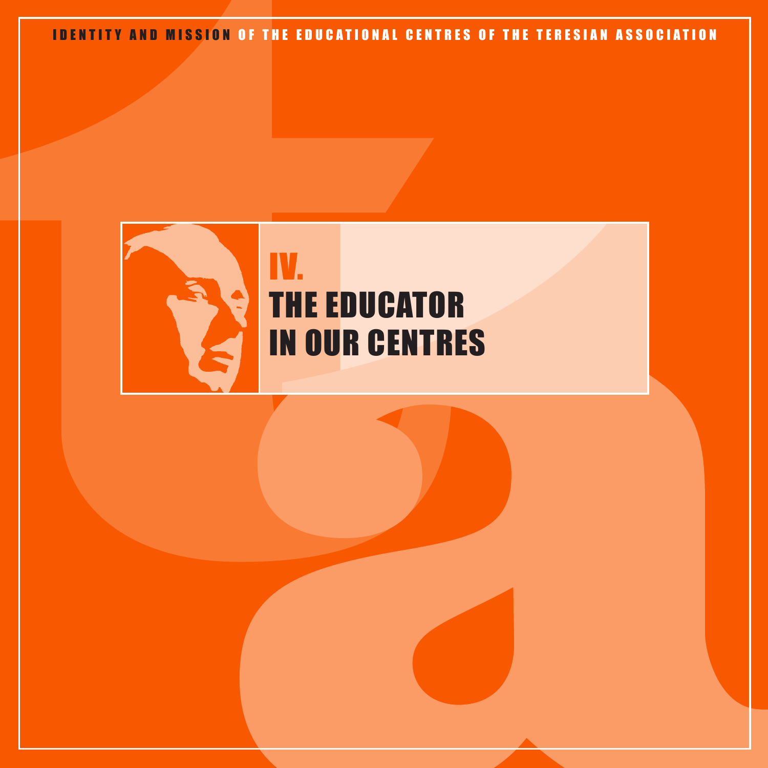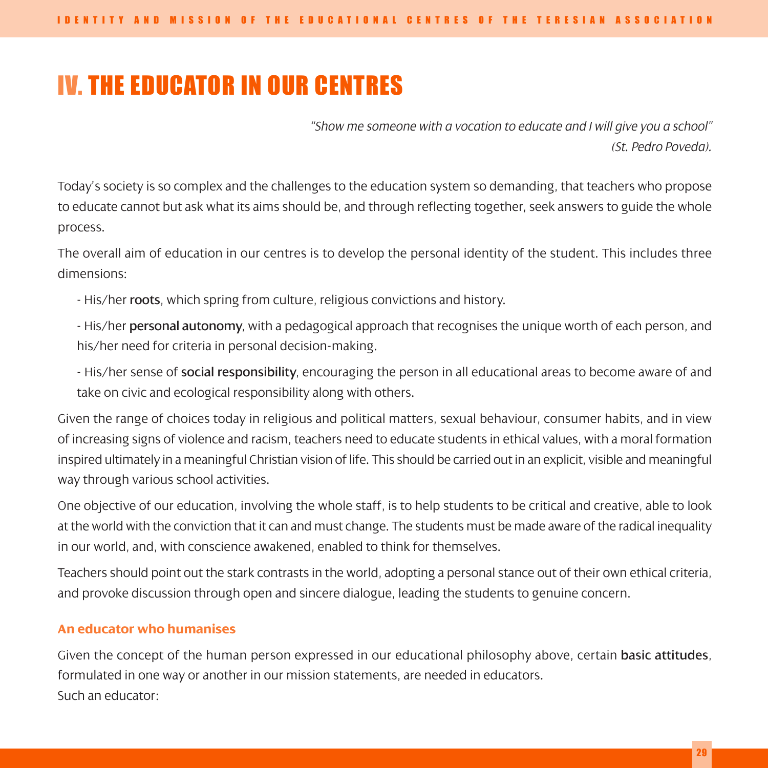# IV. THE EDUCATOR IN OUR CENTRES

*"Show me someone with a vocation to educate and I will give you a school" (St. Pedro Poveda).*

Today's society is so complex and the challenges to the education system so demanding, that teachers who propose to educate cannot but ask what its aims should be, and through reflecting together, seek answers to guide the whole process.

The overall aim of education in our centres is to develop the personal identity of the student. This includes three dimensions:

- His/her roots, which spring from culture, religious convictions and history.

- His/her personal autonomy, with a pedagogical approach that recognises the unique worth of each person, and his/her need for criteria in personal decision-making.

- His/her sense of social responsibility, encouraging the person in all educational areas to become aware of and take on civic and ecological responsibility along with others.

Given the range of choices today in religious and political matters, sexual behaviour, consumer habits, and in view of increasing signs of violence and racism, teachers need to educate students in ethical values, with a moral formation inspired ultimately in a meaningful Christian vision of life. This should be carried out in an explicit, visible and meaningful way through various school activities.

One objective of our education, involving the whole staff, is to help students to be critical and creative, able to look at the world with the conviction that it can and must change. The students must be made aware of the radical inequality in our world, and, with conscience awakened, enabled to think for themselves.

Teachers should point out the stark contrasts in the world, adopting a personal stance out of their own ethical criteria, and provoke discussion through open and sincere dialogue, leading the students to genuine concern.

#### **An educator who humanises**

Given the concept of the human person expressed in our educational philosophy above, certain basic attitudes, formulated in one way or another in our mission statements, are needed in educators. Such an educator: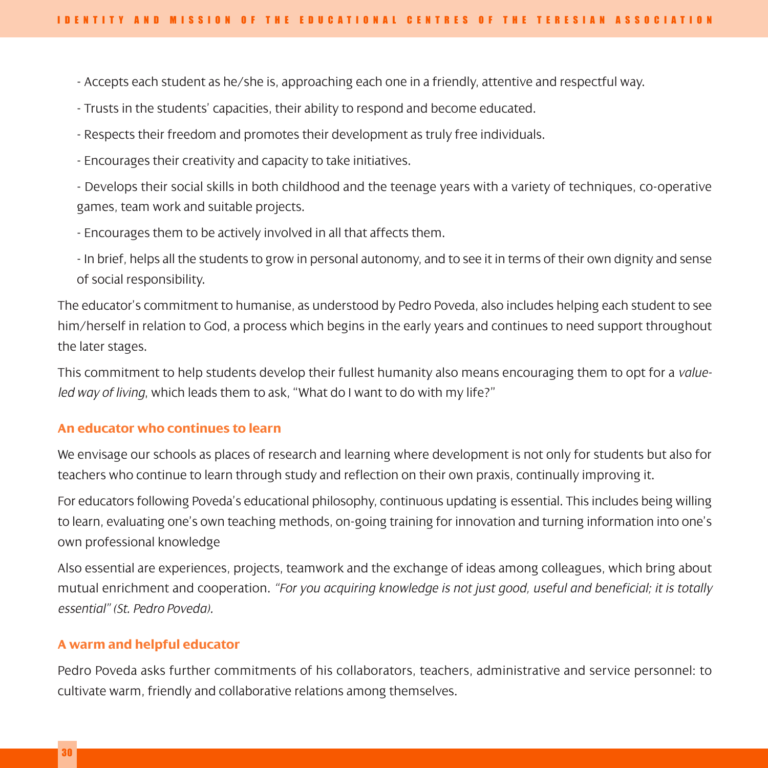- Accepts each student as he/she is, approaching each one in a friendly, attentive and respectful way.

- Trusts in the students' capacities, their ability to respond and become educated.

- Respects their freedom and promotes their development as truly free individuals.

- Encourages their creativity and capacity to take initiatives.

- Develops their social skills in both childhood and the teenage years with a variety of techniques, co-operative games, team work and suitable projects.

- Encourages them to be actively involved in all that affects them.

- In brief, helps all the students to grow in personal autonomy, and to see it in terms of their own dignity and sense of social responsibility.

The educator's commitment to humanise, as understood by Pedro Poveda, also includes helping each student to see him/herself in relation to God, a process which begins in the early years and continues to need support throughout the later stages.

This commitment to help students develop their fullest humanity also means encouraging them to opt for a *valueled way of living*, which leads them to ask, "What do I want to do with my life?"

#### **An educator who continues to learn**

We envisage our schools as places of research and learning where development is not only for students but also for teachers who continue to learn through study and reflection on their own praxis, continually improving it.

For educators following Poveda's educational philosophy, continuous updating is essential. This includes being willing to learn, evaluating one's own teaching methods, on-going training for innovation and turning information into one's own professional knowledge

Also essential are experiences, projects, teamwork and the exchange of ideas among colleagues, which bring about mutual enrichment and cooperation. *"For you acquiring knowledge is not just good, useful and beneficial; it is totally essential" (St. Pedro Poveda).*

#### **A warm and helpful educator**

Pedro Poveda asks further commitments of his collaborators, teachers, administrative and service personnel: to cultivate warm, friendly and collaborative relations among themselves.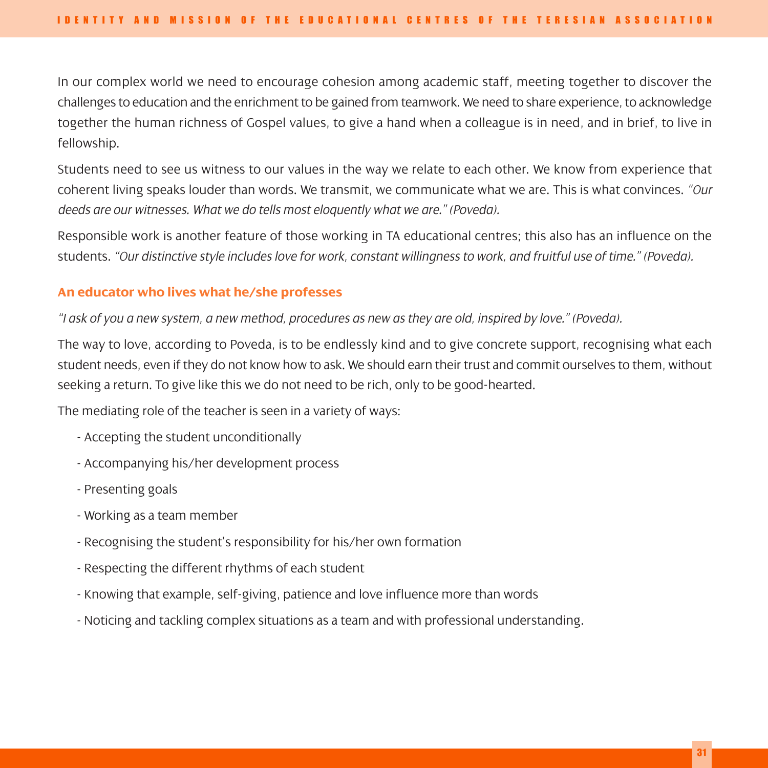In our complex world we need to encourage cohesion among academic staff, meeting together to discover the challenges to education and the enrichment to be gained from teamwork. We need to share experience, to acknowledge together the human richness of Gospel values, to give a hand when a colleague is in need, and in brief, to live in fellowship.

Students need to see us witness to our values in the way we relate to each other. We know from experience that coherent living speaks louder than words. We transmit, we communicate what we are. This is what convinces. *"Our deeds are our witnesses. What we do tells most eloquently what we are." (Poveda).*

Responsible work is another feature of those working in TA educational centres; this also has an influence on the students. *"Our distinctive style includes love for work, constant willingness to work, and fruitful use of time." (Poveda).*

#### **An educator who lives what he/she professes**

*"I ask of you a new system, a new method, procedures as new as they are old, inspired by love." (Poveda).*

The way to love, according to Poveda, is to be endlessly kind and to give concrete support, recognising what each student needs, even if they do not know how to ask. We should earn their trust and commit ourselves to them, without seeking a return. To give like this we do not need to be rich, only to be good-hearted.

The mediating role of the teacher is seen in a variety of ways:

- Accepting the student unconditionally
- Accompanying his/her development process
- Presenting goals
- Working as a team member
- Recognising the student's responsibility for his/her own formation
- Respecting the different rhythms of each student
- Knowing that example, self-giving, patience and love influence more than words
- Noticing and tackling complex situations as a team and with professional understanding.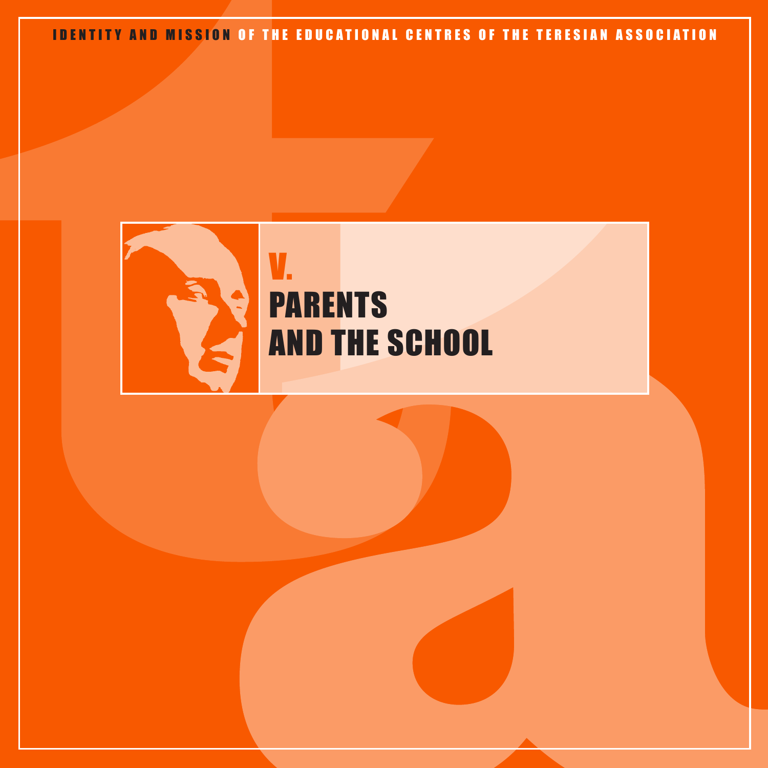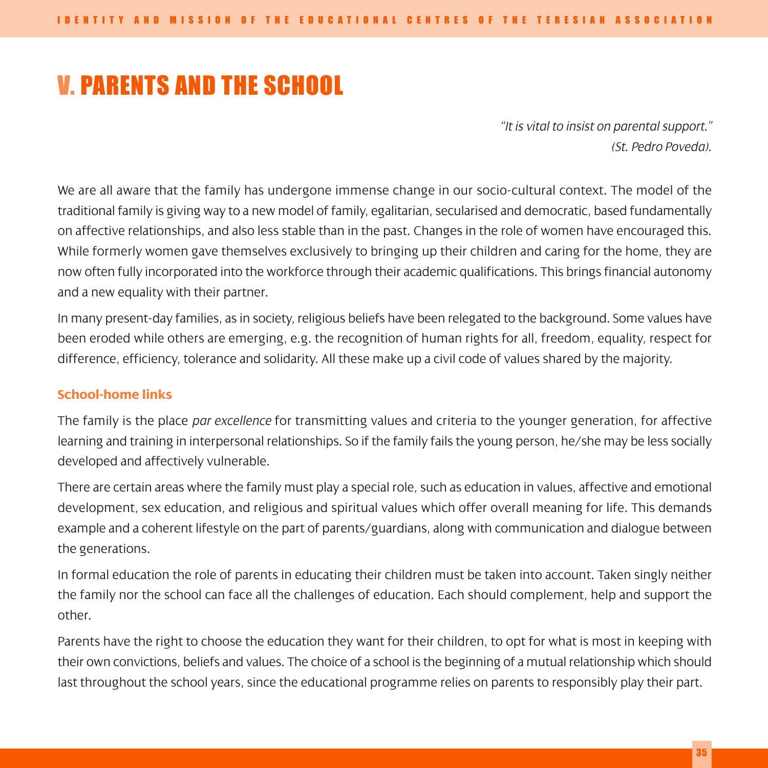# V. PARENTS AND THE SCHOOL

*"It is vital to insist on parental support." (St. Pedro Poveda).*

We are all aware that the family has undergone immense change in our socio-cultural context. The model of the traditional family is giving way to a new model of family, egalitarian, secularised and democratic, based fundamentally on affective relationships, and also less stable than in the past. Changes in the role of women have encouraged this. While formerly women gave themselves exclusively to bringing up their children and caring for the home, they are now often fully incorporated into the workforce through their academic qualifications. This brings financial autonomy and a new equality with their partner.

In many present-day families, as in society, religious beliefs have been relegated to the background. Some values have been eroded while others are emerging, e.g. the recognition of human rights for all, freedom, equality, respect for difference, efficiency, tolerance and solidarity. All these make up a civil code of values shared by the majority.

#### **School-home links**

The family is the place *par excellence* for transmitting values and criteria to the younger generation, for affective learning and training in interpersonal relationships. So if the family fails the young person, he/she may be less socially developed and affectively vulnerable.

There are certain areas where the family must play a special role, such as education in values, affective and emotional development, sex education, and religious and spiritual values which offer overall meaning for life. This demands example and a coherent lifestyle on the part of parents/guardians, along with communication and dialogue between the generations.

In formal education the role of parents in educating their children must be taken into account. Taken singly neither the family nor the school can face all the challenges of education. Each should complement, help and support the other.

Parents have the right to choose the education they want for their children, to opt for what is most in keeping with their own convictions, beliefs and values. The choice of a school is the beginning of a mutual relationship which should last throughout the school years, since the educational programme relies on parents to responsibly play their part.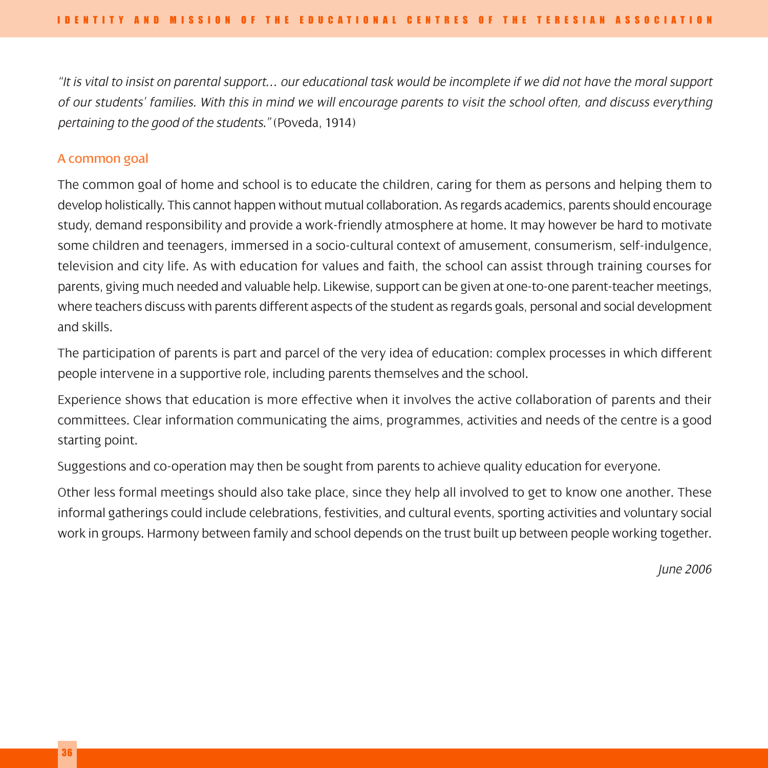*"It is vital to insist on parental support… our educational task would be incomplete if we did not have the moral support of our students' families. With this in mind we will encourage parents to visit the school often, and discuss everything pertaining to the good of the students."* (Poveda, 1914)

#### A common goal

The common goal of home and school is to educate the children, caring for them as persons and helping them to develop holistically. This cannot happen without mutual collaboration. As regards academics, parents should encourage study, demand responsibility and provide a work-friendly atmosphere at home. It may however be hard to motivate some children and teenagers, immersed in a socio-cultural context of amusement, consumerism, self-indulgence, television and city life. As with education for values and faith, the school can assist through training courses for parents, giving much needed and valuable help. Likewise, support can be given at one-to-one parent-teacher meetings, where teachers discuss with parents different aspects of the student as regards goals, personal and social development and skills.

The participation of parents is part and parcel of the very idea of education: complex processes in which different people intervene in a supportive role, including parents themselves and the school.

Experience shows that education is more effective when it involves the active collaboration of parents and their committees. Clear information communicating the aims, programmes, activities and needs of the centre is a good starting point.

Suggestions and co-operation may then be sought from parents to achieve quality education for everyone.

Other less formal meetings should also take place, since they help all involved to get to know one another. These informal gatherings could include celebrations, festivities, and cultural events, sporting activities and voluntary social work in groups. Harmony between family and school depends on the trust built up between people working together.

*June 2006*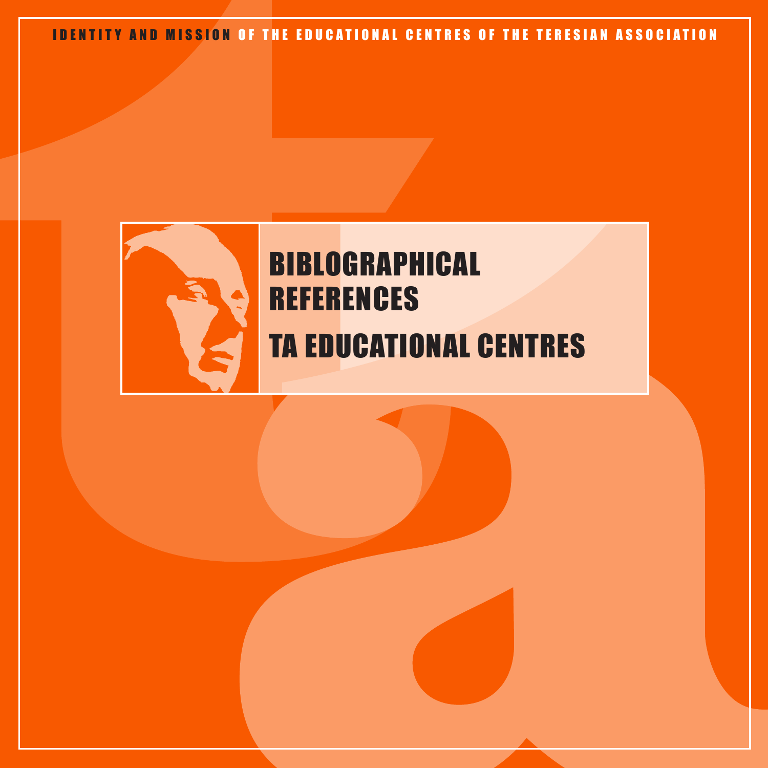

# BIBLOGRAPHICAL **REFERENCES** TA EDUCATIONAL CENTRES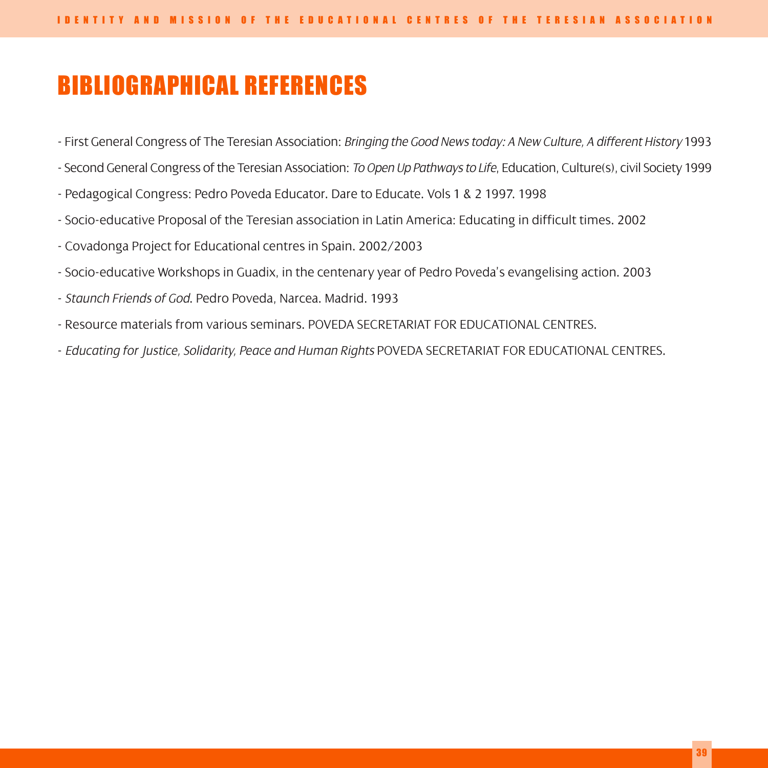# BIBLIOGRAPHICAL REFERENCES

- First General Congress of The Teresian Association: *Bringing the Good News today: A New Culture, A different History* 1993
- Second General Congress of the Teresian Association: *To Open Up Pathways to Life*, Education, Culture(s), civil Society 1999
- Pedagogical Congress: Pedro Poveda Educator. Dare to Educate. Vols 1 & 2 1997. 1998
- Socio-educative Proposal of the Teresian association in Latin America: Educating in difficult times. 2002
- Covadonga Project for Educational centres in Spain. 2002/2003
- Socio-educative Workshops in Guadix, in the centenary year of Pedro Poveda's evangelising action. 2003
- *Staunch Friends of God*. Pedro Poveda, Narcea. Madrid. 1993
- Resource materials from various seminars. POVEDA SECRETARIAT FOR EDUCATIONAL CENTRES.
- *Educating for Justice, Solidarity, Peace and Human Rights* POVEDA SECRETARIAT FOR EDUCATIONAL CENTRES.